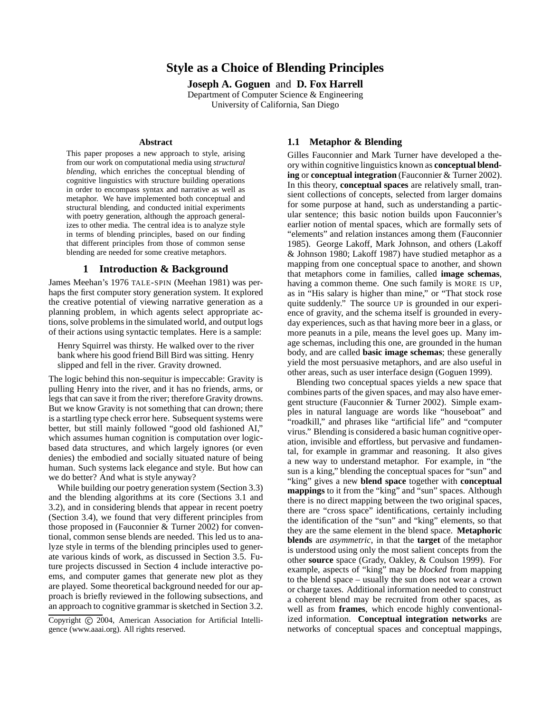# **Style as a Choice of Blending Principles**

**Joseph A. Goguen** and **D. Fox Harrell** Department of Computer Science & Engineering University of California, San Diego

#### **Abstract**

This paper proposes a new approach to style, arising from our work on computational media using *structural blending*, which enriches the conceptual blending of cognitive linguistics with structure building operations in order to encompass syntax and narrative as well as metaphor. We have implemented both conceptual and structural blending, and conducted initial experiments with poetry generation, although the approach generalizes to other media. The central idea is to analyze style in terms of blending principles, based on our finding that different principles from those of common sense blending are needed for some creative metaphors.

#### **1 Introduction & Background**

James Meehan's 1976 TALE-SPIN (Meehan 1981) was perhaps the first computer story generation system. It explored the creative potential of viewing narrative generation as a planning problem, in which agents select appropriate actions, solve problemsin the simulated world, and output logs of their actions using syntactic templates. Here is a sample:

Henry Squirrel was thirsty. He walked over to the river bank where his good friend Bill Bird was sitting. Henry slipped and fell in the river. Gravity drowned.

The logic behind this non-sequitur is impeccable: Gravity is pulling Henry into the river, and it has no friends, arms, or legs that can save it from the river; therefore Gravity drowns. But we know Gravity is not something that can drown; there is a startling type check error here. Subsequent systems were better, but still mainly followed "good old fashioned AI," which assumes human cognition is computation over logicbased data structures, and which largely ignores (or even denies) the embodied and socially situated nature of being human. Such systems lack elegance and style. But how can we do better? And what is style anyway?

While building our poetry generation system (Section 3.3) and the blending algorithms at its core (Sections 3.1 and 3.2), and in considering blends that appear in recent poetry (Section 3.4), we found that very different principles from those proposed in (Fauconnier & Turner 2002) for conventional, common sense blends are needed. This led us to analyze style in terms of the blending principles used to generate various kinds of work, as discussed in Section 3.5. Future projects discussed in Section 4 include interactive poems, and computer games that generate new plot as they are played. Some theoretical background needed for our approach is briefly reviewed in the following subsections, and an approach to cognitive grammar is sketched in Section 3.2.

#### **1.1 Metaphor & Blending**

Gilles Fauconnier and Mark Turner have developed a theory within cognitive linguistics known as **conceptual blending** or **conceptual integration** (Fauconnier & Turner 2002). In this theory, **conceptual spaces** are relatively small, transient collections of concepts, selected from larger domains for some purpose at hand, such as understanding a particular sentence; this basic notion builds upon Fauconnier's earlier notion of mental spaces, which are formally sets of "elements" and relation instances among them (Fauconnier 1985). George Lakoff, Mark Johnson, and others (Lakoff & Johnson 1980; Lakoff 1987) have studied metaphor as a mapping from one conceptual space to another, and shown that metaphors come in families, called **image schemas**, having a common theme. One such family is MORE IS UP, as in "His salary is higher than mine," or "That stock rose quite suddenly." The source UP is grounded in our experience of gravity, and the schema itself is grounded in everyday experiences, such as that having more beer in a glass, or more peanuts in a pile, means the level goes up. Many image schemas, including this one, are grounded in the human body, and are called **basic image schemas**; these generally yield the most persuasive metaphors, and are also useful in other areas, such as user interface design (Goguen 1999).

Blending two conceptual spaces yields a new space that combines parts of the given spaces, and may also have emergent structure (Fauconnier & Turner 2002). Simple examples in natural language are words like "houseboat" and "roadkill," and phrases like "artificial life" and "computer virus." Blending is considered a basic human cognitive operation, invisible and effortless, but pervasive and fundamental, for example in grammar and reasoning. It also gives a new way to understand metaphor. For example, in "the sun is a king," blending the conceptual spaces for "sun" and "king" gives a new **blend space** together with **conceptual mappings** to it from the "king" and "sun" spaces. Although there is no direct mapping between the two original spaces, there are "cross space" identifications, certainly including the identification of the "sun" and "king" elements, so that they are the same element in the blend space. **Metaphoric blends** are *asymmetric*, in that the **target** of the metaphor is understood using only the most salient concepts from the other **source** space (Grady, Oakley, & Coulson 1999). For example, aspects of "king" may be *blocked* from mapping to the blend space – usually the sun does not wear a crown or charge taxes. Additional information needed to construct a coherent blend may be recruited from other spaces, as well as from **frames**, which encode highly conventionalized information. **Conceptual integration networks** are networks of conceptual spaces and conceptual mappings,

Copyright © 2004, American Association for Artificial Intelligence (www.aaai.org). All rights reserved.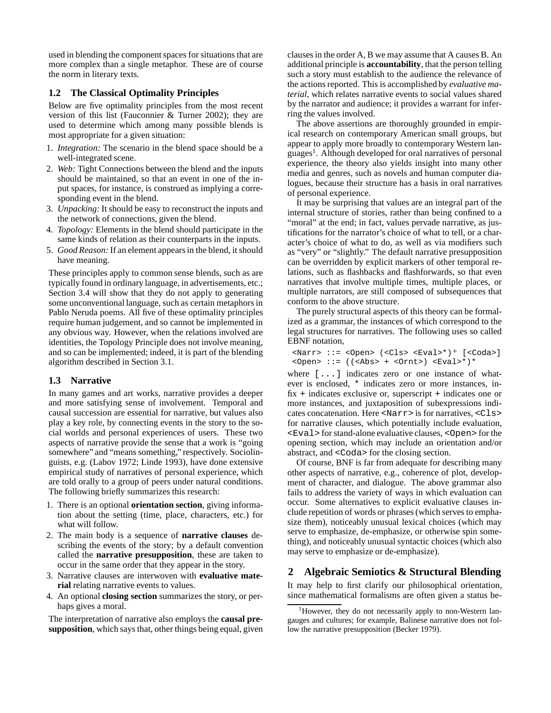used in blending the component spaces for situations that are more complex than a single metaphor. These are of course the norm in literary texts.

## **1.2 The Classical Optimality Principles**

Below are five optimality principles from the most recent version of this list (Fauconnier & Turner 2002); they are used to determine which among many possible blends is most appropriate for a given situation:

- 1. *Integration:* The scenario in the blend space should be a well-integrated scene.
- 2. *Web:* Tight Connections between the blend and the inputs should be maintained, so that an event in one of the input spaces, for instance, is construed as implying a corresponding event in the blend.
- 3. *Unpacking:* It should be easy to reconstruct the inputs and the network of connections, given the blend.
- 4. *Topology:* Elements in the blend should participate in the same kinds of relation as their counterparts in the inputs.
- 5. *Good Reason:* If an element appearsin the blend, it should have meaning.

These principles apply to common sense blends, such as are typically found in ordinary language, in advertisements, etc.; Section 3.4 will show that they do not apply to generating some unconventional language, such as certain metaphors in Pablo Neruda poems. All five of these optimality principles require human judgement, and so cannot be implemented in any obvious way. However, when the relations involved are identities, the Topology Principle does not involve meaning, and so can be implemented; indeed, it is part of the blending algorithm described in Section 3.1.

## **1.3 Narrative**

In many games and art works, narrative provides a deeper and more satisfying sense of involvement. Temporal and causal succession are essential for narrative, but values also play a key role, by connecting events in the story to the social worlds and personal experiences of users. These two aspects of narrative provide the sense that a work is "going somewhere" and "means something," respectively. Sociolinguists, e.g. (Labov 1972; Linde 1993), have done extensive empirical study of narratives of personal experience, which are told orally to a group of peers under natural conditions. The following briefly summarizes this research:

- 1. There is an optional **orientation section**, giving information about the setting (time, place, characters, etc.) for what will follow.
- 2. The main body is a sequence of **narrative clauses** describing the events of the story; by a default convention called the **narrative presupposition**, these are taken to occur in the same order that they appear in the story.
- 3. Narrative clauses are interwoven with **evaluative material** relating narrative events to values.
- 4. An optional **closing section** summarizes the story, or perhaps gives a moral.

The interpretation of narrative also employs the **causal presupposition**, which says that, other things being equal, given clausesin the order A, B we may assume that A causes B. An additional principle is **accountability**, that the person telling such a story must establish to the audience the relevance of the actions reported. This is accomplished by *evaluative material*, which relates narrative events to social values shared by the narrator and audience; it provides a warrant for inferring the values involved.

The above assertions are thoroughly grounded in empirical research on contemporary American small groups, but appear to apply more broadly to contemporary Western languages<sup>1</sup>. Although developed for oral narratives of personal experience, the theory also yields insight into many other media and genres, such as novels and human computer dialogues, because their structure has a basis in oral narratives of personal experience.

It may be surprising that values are an integral part of the internal structure of stories, rather than being confined to a "moral" at the end; in fact, values pervade narrative, as justifications for the narrator's choice of what to tell, or a character's choice of what to do, as well as via modifiers such as "very" or "slightly." The default narrative presupposition can be overridden by explicit markers of other temporal relations, such as flashbacks and flashforwards, so that even narratives that involve multiple times, multiple places, or multiple narrators, are still composed of subsequences that conform to the above structure.

The purely structural aspects of this theory can be formalized as a grammar, the instances of which correspond to the legal structures for narratives. The following uses so called EBNF notation,

```
<\!\!\!\mathrm{Narr}\!\!> \; : \; := \; <\!\!\!\mathrm{Open}\!\!> \; \; (<\!\!\!\mathrm{cls}\!\!> \; <\!\!\mathrm{Eval}\!\!>^*)^+\; \; [\; <\!\!\!\mathrm{coda}\!\!>]\;<Open> ::= ((<Abs> + <Ornt>) <Eval>*)*
```
where [...] indicates zero or one instance of whatever is enclosed, \* indicates zero or more instances, infix + indicates exclusive or, superscript + indicates one or more instances, and juxtaposition of subexpressions indicates concatenation. Here <Narr> is for narratives, <Cls> for narrative clauses, which potentially include evaluation, <Eval> for stand-alone evaluative clauses, <Open> for the opening section, which may include an orientation and/or abstract, and <Coda> for the closing section.

Of course, BNF is far from adequate for describing many other aspects of narrative, e.g., coherence of plot, development of character, and dialogue. The above grammar also fails to address the variety of ways in which evaluation can occur. Some alternatives to explicit evaluative clauses include repetition of words or phrases (which serves to emphasize them), noticeably unusual lexical choices (which may serve to emphasize, de-emphasize, or otherwise spin something), and noticeably unusual syntactic choices (which also may serve to emphasize or de-emphasize).

# **2 Algebraic Semiotics & Structural Blending**

It may help to first clarify our philosophical orientation, since mathematical formalisms are often given a status be-

 $1$ However, they do not necessarily apply to non-Western langauges and cultures; for example, Balinese narrative does not follow the narrative presupposition (Becker 1979).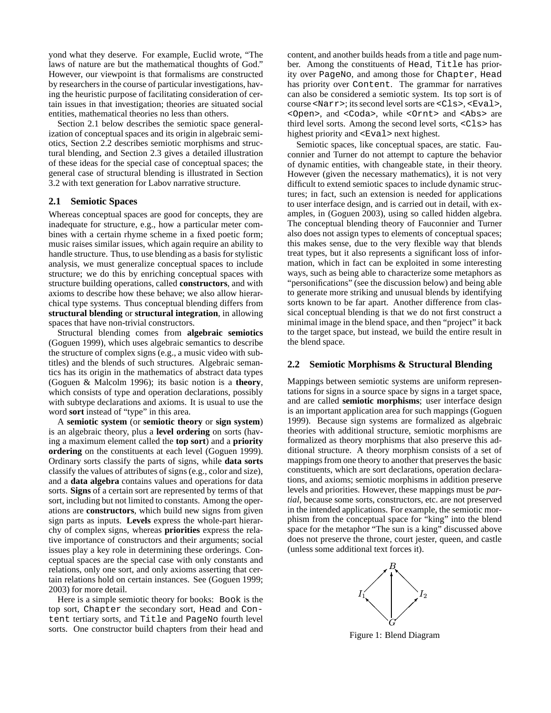yond what they deserve. For example, Euclid wrote, "The laws of nature are but the mathematical thoughts of God." However, our viewpoint is that formalisms are constructed by researchers in the course of particular investigations, having the heuristic purpose of facilitating consideration of certain issues in that investigation; theories are situated social entities, mathematical theories no less than others.

Section 2.1 below describes the semiotic space generalization of conceptual spaces and its origin in algebraic semiotics, Section 2.2 describes semiotic morphisms and structural blending, and Section 2.3 gives a detailed illustration of these ideas for the special case of conceptual spaces; the general case of structural blending is illustrated in Section 3.2 with text generation for Labov narrative structure.

#### **2.1 Semiotic Spaces**

Whereas conceptual spaces are good for concepts, they are inadequate for structure, e.g., how a particular meter combines with a certain rhyme scheme in a fixed poetic form; music raises similar issues, which again require an ability to handle structure. Thus, to use blending as a basis for stylistic analysis, we must generalize conceptual spaces to include structure; we do this by enriching conceptual spaces with structure building operations, called **constructors**, and with axioms to describe how these behave; we also allow hierarchical type systems. Thus conceptual blending differs from **structural blending** or **structural integration**, in allowing spaces that have non-trivial constructors.

Structural blending comes from **algebraic semiotics** (Goguen 1999), which uses algebraic semantics to describe the structure of complex signs (e.g., a music video with subtitles) and the blends of such structures. Algebraic semantics has its origin in the mathematics of abstract data types (Goguen & Malcolm 1996); its basic notion is a **theory**, which consists of type and operation declarations, possibly with subtype declarations and axioms. It is usual to use the word **sort** instead of "type" in this area.

A **semiotic system** (or **semiotic theory** or **sign system**) is an algebraic theory, plus a **level ordering** on sorts (having a maximum element called the **top sort**) and a **priority ordering** on the constituents at each level (Goguen 1999). Ordinary sorts classify the parts of signs, while **data sorts** classify the values of attributes of signs (e.g., color and size), and a **data algebra** contains values and operations for data sorts. **Signs** of a certain sort are represented by terms of that sort, including but not limited to constants. Among the operations are **constructors**, which build new signs from given sign parts as inputs. **Levels** express the whole-part hierarchy of complex signs, whereas **priorities** express the relative importance of constructors and their arguments; social issues play a key role in determining these orderings. Conceptual spaces are the special case with only constants and relations, only one sort, and only axioms asserting that certain relations hold on certain instances. See (Goguen 1999; 2003) for more detail.

Here is a simple semiotic theory for books: Book is the top sort, Chapter the secondary sort, Head and Content tertiary sorts, and Title and PageNo fourth level sorts. One constructor build chapters from their head and content, and another builds heads from a title and page number. Among the constituents of Head, Title has priority over PageNo, and among those for Chapter, Head has priority over Content. The grammar for narratives can also be considered a semiotic system. Its top sort is of course <Narr>; its second level sorts are <Cls>, <Eval>, <Open>, and <Coda>, while <Ornt> and <Abs> are third level sorts. Among the second level sorts, <Cls> has highest priority and <Eval> next highest.

Semiotic spaces, like conceptual spaces, are static. Fauconnier and Turner do not attempt to capture the behavior of dynamic entities, with changeable state, in their theory. However (given the necessary mathematics), it is not very difficult to extend semiotic spaces to include dynamic structures; in fact, such an extension is needed for applications to user interface design, and is carried out in detail, with examples, in (Goguen 2003), using so called hidden algebra. The conceptual blending theory of Fauconnier and Turner also does not assign types to elements of conceptual spaces; this makes sense, due to the very flexible way that blends treat types, but it also represents a significant loss of information, which in fact can be exploited in some interesting ways, such as being able to characterize some metaphors as "personifications" (see the discussion below) and being able to generate more striking and unusual blends by identifying sorts known to be far apart. Another difference from classical conceptual blending is that we do not first construct a minimal image in the blend space, and then "project" it back to the target space, but instead, we build the entire result in the blend space.

#### **2.2 Semiotic Morphisms & Structural Blending**

Mappings between semiotic systems are uniform representations for signs in a source space by signs in a target space, and are called **semiotic morphisms**; user interface design is an important application area for such mappings (Goguen 1999). Because sign systems are formalized as algebraic theories with additional structure, semiotic morphisms are formalized as theory morphisms that also preserve this additional structure. A theory morphism consists of a set of mappings from one theory to another that preserves the basic constituents, which are sort declarations, operation declarations, and axioms; semiotic morphisms in addition preserve levels and priorities. However, these mappings must be *partial*, because some sorts, constructors, etc. are not preserved in the intended applications. For example, the semiotic morphism from the conceptual space for "king" into the blend space for the metaphor "The sun is a king" discussed above does not preserve the throne, court jester, queen, and castle (unless some additional text forces it).



Figure 1: Blend Diagram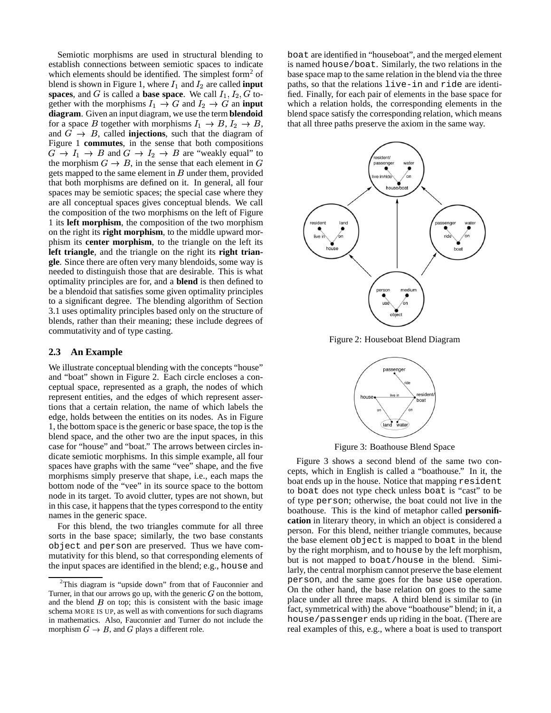Semiotic morphisms are used in structural blending to establish connections between semiotic spaces to indicate which elements should be identified. The simplest form<sup>2</sup> of blend is shown in Figure 1, where  $I_1$  and  $I_2$  are called **input spaces**, and G is called a **base space**. We call  $I_1, I_2, G$  to- fied. I gether with the morphisms  $I_1 \rightarrow G$  and  $I_2 \rightarrow G$  an **input diagram**. Given an input diagram, we use the term **blendoid** for a space B together with morphisms  $I_1 \rightarrow B$ ,  $I_2 \rightarrow B$ , and  $G \rightarrow B$ , called **injections**, such that the diagram of Figure 1 **commutes**, in the sense that both compositions  $G \to I_1 \to B$  and  $G \to I_2 \to B$  are "weakly equal" to the morphism  $G \to B$ , in the sense that each element in  $G$ gets mapped to the same element in  $B$  under them, provided that both morphisms are defined on it. In general, all four spaces may be semiotic spaces; the special case where they are all conceptual spaces gives conceptual blends. We call the composition of the two morphisms on the left of Figure 1 its **left morphism**, the composition of the two morphism on the right its **right morphism**, to the middle upward morphism its **center morphism**, to the triangle on the left its **left triangle**, and the triangle on the right its **right triangle**. Since there are often very many blendoids, some way is needed to distinguish those that are desirable. This is what optimality principles are for, and a **blend** is then defined to be a blendoid that satisfies some given optimality principles to a significant degree. The blending algorithm of Section 3.1 uses optimality principles based only on the structure of blends, rather than their meaning; these include degrees of commutativity and of type casting.

## **2.3 An Example**

We illustrate conceptual blending with the concepts "house" and "boat" shown in Figure 2. Each circle encloses a conceptual space, represented as a graph, the nodes of which represent entities, and the edges of which represent assertions that a certain relation, the name of which labels the edge, holds between the entities on its nodes. As in Figure 1, the bottom space is the generic or base space, the top is the blend space, and the other two are the input spaces, in this case for "house" and "boat." The arrows between circles indicate semiotic morphisms. In this simple example, all four spaces have graphs with the same "vee" shape, and the five morphisms simply preserve that shape, i.e., each maps the bottom node of the "vee" in its source space to the bottom node in its target. To avoid clutter, types are not shown, but in this case, it happens that the types correspond to the entity names in the generic space.

For this blend, the two triangles commute for all three sorts in the base space; similarly, the two base constants object and person are preserved. Thus we have commutativity for this blend, so that corresponding elements of the input spaces are identified in the blend; e.g., house and

B, that all three paths preserve the axiom in the same way. boat are identified in "houseboat", and the merged element is named house/boat. Similarly, the two relations in the base space map to the same relation in the blend via the three paths, so that the relations live-in and ride are identified. Finally, for each pair of elements in the base space for which a relation holds, the corresponding elements in the blend space satisfy the corresponding relation, which means



Figure 2: Houseboat Blend Diagram



Figure 3: Boathouse Blend Space

Figure 3 shows a second blend of the same two concepts, which in English is called a "boathouse." In it, the boat ends up in the house. Notice that mapping resident to boat does not type check unless boat is "cast" to be of type person; otherwise, the boat could not live in the boathouse. This is the kind of metaphor called **personification** in literary theory, in which an object is considered a person. For this blend, neither triangle commutes, because the base element object is mapped to boat in the blend by the right morphism, and to house by the left morphism, but is not mapped to boat/house in the blend. Similarly, the central morphism cannot preserve the base element person, and the same goes for the base use operation. On the other hand, the base relation on goes to the same place under all three maps. A third blend is similar to (in fact, symmetrical with) the above "boathouse" blend; in it, a house/passenger ends up riding in the boat. (There are real examples of this, e.g., where a boat is used to transport

<sup>&</sup>lt;sup>2</sup>This diagram is "upside down" from that of Fauconnier and Turner, in that our arrows go up, with the generic  $G$  on the bottom, and the blend  $B$  on top; this is consistent with the basic image schema MORE IS UP, as well as with conventions for such diagrams in mathematics. Also, Fauconnier and Turner do not include the morphism  $G \to B$ , and  $G$  plays a different role.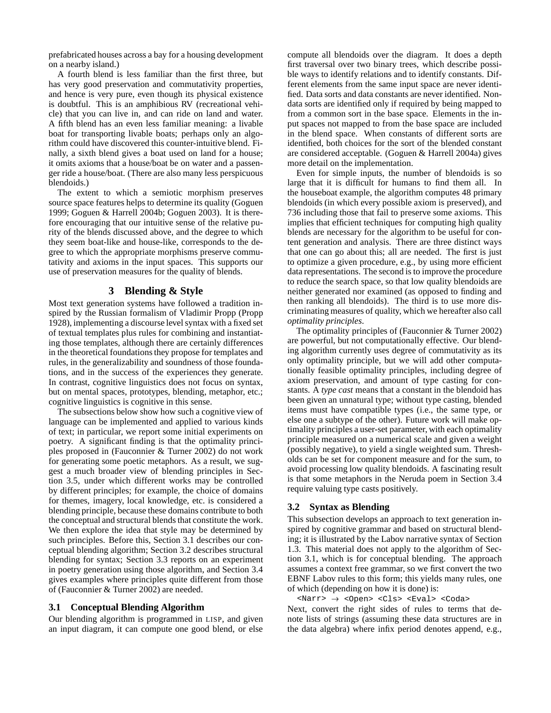prefabricated houses across a bay for a housing development on a nearby island.)

A fourth blend is less familiar than the first three, but has very good preservation and commutativity properties, and hence is very pure, even though its physical existence is doubtful. This is an amphibious RV (recreational vehicle) that you can live in, and can ride on land and water. A fifth blend has an even less familiar meaning: a livable boat for transporting livable boats; perhaps only an algorithm could have discovered this counter-intuitive blend. Finally, a sixth blend gives a boat used on land for a house; it omits axioms that a house/boat be on water and a passenger ride a house/boat. (There are also many less perspicuous blendoids.)

The extent to which a semiotic morphism preserves source space features helps to determine its quality (Goguen 1999; Goguen & Harrell 2004b; Goguen 2003). It is therefore encouraging that our intuitive sense of the relative purity of the blends discussed above, and the degree to which they seem boat-like and house-like, corresponds to the degree to which the appropriate morphisms preserve commutativity and axioms in the input spaces. This supports our use of preservation measures for the quality of blends.

# **3 Blending & Style**

Most text generation systems have followed a tradition inspired by the Russian formalism of Vladimir Propp (Propp 1928), implementing a discourse level syntax with a fixed set of textual templates plus rules for combining and instantiating those templates, although there are certainly differences in the theoretical foundations they propose for templates and rules, in the generalizability and soundness of those foundations, and in the success of the experiences they generate. In contrast, cognitive linguistics does not focus on syntax, but on mental spaces, prototypes, blending, metaphor, etc.; cognitive linguistics is cognitive in this sense.

The subsections below show how such a cognitive view of language can be implemented and applied to various kinds of text; in particular, we report some initial experiments on poetry. A significant finding is that the optimality principles proposed in (Fauconnier & Turner 2002) do not work for generating some poetic metaphors. As a result, we suggest a much broader view of blending principles in Section 3.5, under which different works may be controlled by different principles; for example, the choice of domains for themes, imagery, local knowledge, etc. is considered a blending principle, because these domains contribute to both the conceptual and structural blends that constitute the work. We then explore the idea that style may be determined by such principles. Before this, Section 3.1 describes our conceptual blending algorithm; Section 3.2 describes structural blending for syntax; Section 3.3 reports on an experiment in poetry generation using those algorithm, and Section 3.4 gives examples where principles quite different from those of (Fauconnier & Turner 2002) are needed.

# **3.1 Conceptual Blending Algorithm**

Our blending algorithm is programmed in LISP, and given an input diagram, it can compute one good blend, or else

compute all blendoids over the diagram. It does a depth first traversal over two binary trees, which describe possible ways to identify relations and to identify constants. Different elements from the same input space are never identified. Data sorts and data constants are never identified. Nondata sorts are identified only if required by being mapped to from a common sort in the base space. Elements in the input spaces not mapped to from the base space are included in the blend space. When constants of different sorts are identified, both choices for the sort of the blended constant are considered acceptable. (Goguen & Harrell 2004a) gives more detail on the implementation.

Even for simple inputs, the number of blendoids is so large that it is difficult for humans to find them all. In the houseboat example, the algorithm computes 48 primary blendoids (in which every possible axiom is preserved), and 736 including those that fail to preserve some axioms. This implies that efficient techniques for computing high quality blends are necessary for the algorithm to be useful for content generation and analysis. There are three distinct ways that one can go about this; all are needed. The first is just to optimize a given procedure, e.g., by using more efficient data representations. The second is to improve the procedure to reduce the search space, so that low quality blendoids are neither generated nor examined (as opposed to finding and then ranking all blendoids). The third is to use more discriminating measures of quality, which we hereafter also call *optimality principles*.

The optimality principles of (Fauconnier & Turner 2002) are powerful, but not computationally effective. Our blending algorithm currently uses degree of commutativity as its only optimality principle, but we will add other computationally feasible optimality principles, including degree of axiom preservation, and amount of type casting for constants. A *type cast* means that a constant in the blendoid has been given an unnatural type; without type casting, blended items must have compatible types (i.e., the same type, or else one a subtype of the other). Future work will make optimality principles a user-set parameter, with each optimality principle measured on a numerical scale and given a weight (possibly negative), to yield a single weighted sum. Thresholds can be set for component measure and for the sum, to avoid processing low quality blendoids. A fascinating result is that some metaphors in the Neruda poem in Section 3.4 require valuing type casts positively.

# **3.2 Syntax as Blending**

This subsection develops an approach to text generation inspired by cognitive grammar and based on structural blending; it is illustrated by the Labov narrative syntax of Section 1.3. This material does not apply to the algorithm of Section 3.1, which is for conceptual blending. The approach assumes a context free grammar, so we first convert the two EBNF Labov rules to this form; this yields many rules, one of which (depending on how it is done) is:

```
\langle \text{Narr} \rangle \rightarrow \langle \text{Open} \rangle \langle \text{Class} \rangle \langle \text{Eval} \rangle \langle \text{Coda} \rangle
```
Next, convert the right sides of rules to terms that denote lists of strings (assuming these data structures are in the data algebra) where infix period denotes append, e.g.,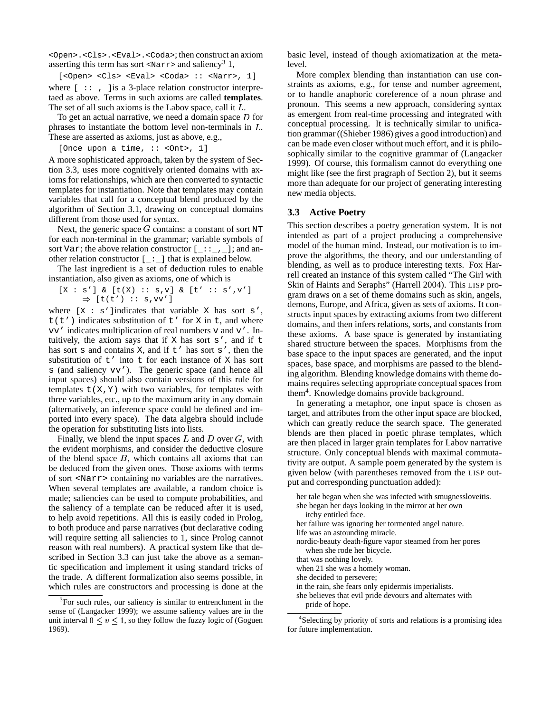<Open>.<Cls>.<Eval>.<Coda>; then construct an axiom asserting this term has sort <Narr> and saliency<sup>3</sup> 1,

[<Open> <Cls> <Eval> <Coda> :: <Narr>, 1] where  $[\cdot \cdot \cdot]$  is a 3-place relation constructor interpretaed as above. Terms in such axioms are called **templates**. The set of all such axioms is the Labov space, call it  $L$ .

To get an actual narrative, we need a domain space  $D$  for phrases to instantiate the bottom level non-terminals in  $L$ . These are asserted as axioms, just as above, e.g.,

[Once upon a time, :: <Ont>, 1]

A more sophisticated approach, taken by the system of Section 3.3, uses more cognitively oriented domains with axioms for relationships, which are then converted to syntactic templates for instantiation. Note that templates may contain variables that call for a conceptual blend produced by the algorithm of Section 3.1, drawing on conceptual domains different from those used for syntax.

Next, the generic space  $G$  contains: a constant of sort NT for each non-terminal in the grammar; variable symbols of sort Var; the above relation constructor  $[\cdot:_{-}, \cdot]$ ; and another relation constructor [\_:\_] that is explained below.

The last ingredient is a set of deduction rules to enable instantiation, also given as axioms, one of which is

$$
[X : s'] \& [t(X) :: s,v] \& [t' :: s',v']
$$
  

$$
\Rightarrow [t(t') :: s,vv']
$$

where  $[x : s']$  indicates that variable X has sort  $s'$ ,  $t(t')$  indicates substitution of  $t'$  for X in t, and where vv' indicates multiplication of real numbers v and v'. Intuitively, the axiom says that if  $X$  has sort  $S'$ , and if  $t$ has sort  $s$  and contains  $x$ , and if  $t'$  has sort  $s'$ , then the substitution of  $t'$  into  $t$  for each instance of  $X$  has sort s (and saliency vv'). The generic space (and hence all input spaces) should also contain versions of this rule for templates  $t(X, Y)$  with two variables, for templates with three variables, etc., up to the maximum arity in any domain (alternatively, an inference space could be defined and imported into every space). The data algebra should include the operation for substituting lists into lists.

Finally, we blend the input spaces L and D over G, with  $\frac{1}{2}$ the evident morphisms, and consider the deductive closure of the blend space  $B$ , which contains all axioms that can be deduced from the given ones. Those axioms with terms of sort <Narr> containing no variables are the narratives. When several templates are available, a random choice is made; saliencies can be used to compute probabilities, and the saliency of a template can be reduced after it is used, to help avoid repetitions. All this is easily coded in Prolog, to both produce and parse narratives (but declarative coding will require setting all saliencies to 1, since Prolog cannot reason with real numbers). A practical system like that described in Section 3.3 can just take the above as a semantic specification and implement it using standard tricks of the trade. A different formalization also seems possible, in which rules are constructors and processing is done at the

basic level, instead of though axiomatization at the metalevel.

More complex blending than instantiation can use constraints as axioms, e.g., for tense and number agreement, or to handle anaphoric coreference of a noun phrase and pronoun. This seems a new approach, considering syntax as emergent from real-time processing and integrated with conceptual processing. It is technically similar to unification grammar((Shieber 1986) gives a good introduction) and can be made even closer without much effort, and it is philosophically similar to the cognitive grammar of (Langacker 1999). Of course, this formalism cannot do everything one might like (see the first pragraph of Section 2), but it seems more than adequate for our project of generating interesting new media objects.

## **3.3 Active Poetry**

This section describes a poetry generation system. It is not intended as part of a project producing a comprehensive model of the human mind. Instead, our motivation is to improve the algorithms, the theory, and our understanding of blending, as well as to produce interesting texts. Fox Harrell created an instance of this system called "The Girl with Skin of Haints and Seraphs" (Harrell 2004). This LISP program draws on a set of theme domains such as skin, angels, demons, Europe, and Africa, given as sets of axioms. It constructs input spaces by extracting axioms from two different domains, and then infers relations, sorts, and constants from these axioms. A base space is generated by instantiating shared structure between the spaces. Morphisms from the base space to the input spaces are generated, and the input spaces, base space, and morphisms are passed to the blending algorithm. Blending knowledge domains with theme domains requires selecting appropriate conceptual spaces from them<sup>4</sup> . Knowledge domains provide background.

In generating a metaphor, one input space is chosen as target, and attributes from the other input space are blocked, which can greatly reduce the search space. The generated blends are then placed in poetic phrase templates, which are then placed in larger grain templates for Labov narrative structure. Only conceptual blends with maximal commutativity are output. A sample poem generated by the system is given below (with parentheses removed from the LISP output and corresponding punctuation added):

| her tale began when she was infected with smugnessloveitis.          |
|----------------------------------------------------------------------|
| she began her days looking in the mirror at her own                  |
| itchy entitled face.                                                 |
| her failure was ignoring her tormented angel nature.                 |
| life was an astounding miracle.                                      |
| nordic-beauty death-figure vapor steamed from her pores              |
| when she rode her bicycle.                                           |
| that was nothing lovely.                                             |
| when 21 she was a homely woman.                                      |
| she decided to persevere;                                            |
| in the rain, she fears only epidermis imperialists.                  |
| she believes that evil pride devours and alternates with             |
| pride of hope.                                                       |
| $^{4}$ Solating by priority of sorts and relations is a promising id |

<sup>4</sup> Selecting by priority of sorts and relations is a promising idea for future implementation.

 $3$ For such rules, our saliency is similar to entrenchment in the sense of (Langacker 1999); we assume saliency values are in the unit interval  $0 \le v \le 1$ , so they follow the fuzzy logic of (Goguen 1969).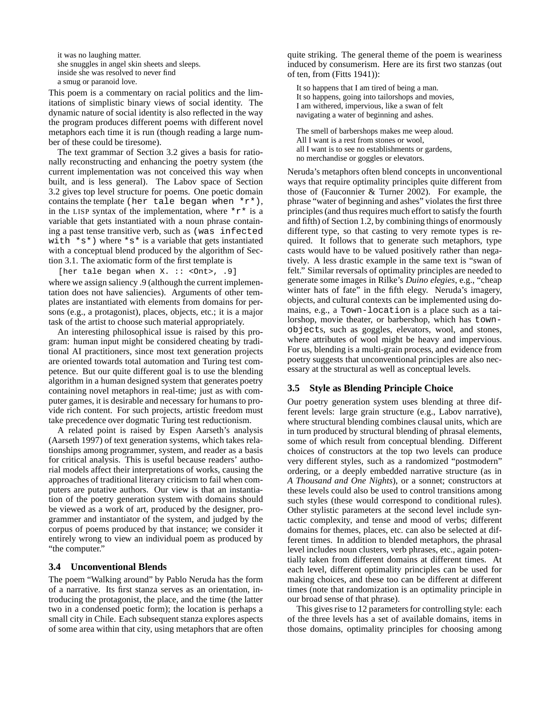it was no laughing matter. she snuggles in angel skin sheets and sleeps. inside she was resolved to never find a smug or paranoid love.

This poem is a commentary on racial politics and the limitations of simplistic binary views of social identity. The dynamic nature of social identity is also reflected in the way the program produces different poems with different novel metaphors each time it is run (though reading a large number of these could be tiresome).

The text grammar of Section 3.2 gives a basis for rationally reconstructing and enhancing the poetry system (the current implementation was not conceived this way when built, and is less general). The Labov space of Section 3.2 gives top level structure for poems. One poetic domain contains the template (her tale began when  $\tau$ <sup>\*</sup>), in the LISP syntax of the implementation, where  $\tau \uparrow$  is a variable that gets instantiated with a noun phrase containing a past tense transitive verb, such as (was infected with  $*_s*$ ) where  $*_s*$  is a variable that gets instantiated with a conceptual blend produced by the algorithm of Section 3.1. The axiomatic form of the first template is

[her tale began when X. :: <Ont>, .9] where we assign saliency .9 (although the current implementation does not have saliencies). Arguments of other templates are instantiated with elements from domains for persons (e.g., a protagonist), places, objects, etc.; it is a major task of the artist to choose such material appropriately.

An interesting philosophical issue is raised by this program: human input might be considered cheating by traditional AI practitioners, since most text generation projects are oriented towards total automation and Turing test competence. But our quite different goal is to use the blending algorithm in a human designed system that generates poetry containing novel metaphors in real-time; just as with computer games, it is desirable and necessary for humans to provide rich content. For such projects, artistic freedom must take precedence over dogmatic Turing test reductionism.

A related point is raised by Espen Aarseth's analysis (Aarseth 1997) of text generation systems, which takes relationships among programmer, system, and reader as a basis for critical analysis. This is useful because readers' authorial models affect their interpretations of works, causing the approaches of traditional literary criticism to fail when computers are putative authors. Our view is that an instantiation of the poetry generation system with domains should be viewed as a work of art, produced by the designer, programmer and instantiator of the system, and judged by the corpus of poems produced by that instance; we consider it entirely wrong to view an individual poem as produced by "the computer."

# **3.4 Unconventional Blends**

The poem "Walking around" by Pablo Neruda has the form of a narrative. Its first stanza serves as an orientation, introducing the protagonist, the place, and the time (the latter two in a condensed poetic form); the location is perhaps a small city in Chile. Each subsequent stanza explores aspects of some area within that city, using metaphors that are often

quite striking. The general theme of the poem is weariness induced by consumerism. Here are its first two stanzas (out of ten, from (Fitts 1941)):

It so happens that I am tired of being a man. It so happens, going into tailorshops and movies, I am withered, impervious, like a swan of felt navigating a water of beginning and ashes.

The smell of barbershops makes me weep aloud. All I want is a rest from stones or wool, all I want is to see no establishments or gardens, no merchandise or goggles or elevators.

Neruda's metaphors often blend concepts in unconventional ways that require optimality principles quite different from those of (Fauconnier & Turner 2002). For example, the phrase "water of beginning and ashes" violates the first three principles(and thus requires much effort to satisfy the fourth and fifth) of Section 1.2, by combining things of enormously different type, so that casting to very remote types is required. It follows that to generate such metaphors, type casts would have to be valued positively rather than negatively. A less drastic example in the same text is "swan of felt." Similar reversals of optimality principles are needed to generate some images in Rilke's *Duino elegies*, e.g., "cheap winter hats of fate" in the fifth elegy. Neruda's imagery, objects, and cultural contexts can be implemented using domains, e.g., a Town-location is a place such as a tailorshop, movie theater, or barbershop, which has townobjects, such as goggles, elevators, wool, and stones, where attributes of wool might be heavy and impervious. For us, blending is a multi-grain process, and evidence from poetry suggests that unconventional principles are also necessary at the structural as well as conceptual levels.

# **3.5 Style as Blending Principle Choice**

Our poetry generation system uses blending at three different levels: large grain structure (e.g., Labov narrative), where structural blending combines clausal units, which are in turn produced by structural blending of phrasal elements, some of which result from conceptual blending. Different choices of constructors at the top two levels can produce very different styles, such as a randomized "postmodern" ordering, or a deeply embedded narrative structure (as in *A Thousand and One Nights*), or a sonnet; constructors at these levels could also be used to control transitions among such styles (these would correspond to conditional rules). Other stylistic parameters at the second level include syntactic complexity, and tense and mood of verbs; different domains for themes, places, etc. can also be selected at different times. In addition to blended metaphors, the phrasal level includes noun clusters, verb phrases, etc., again potentially taken from different domains at different times. At each level, different optimality principles can be used for making choices, and these too can be different at different times (note that randomization is an optimality principle in our broad sense of that phrase).

This gives rise to 12 parameters for controlling style: each of the three levels has a set of available domains, items in those domains, optimality principles for choosing among